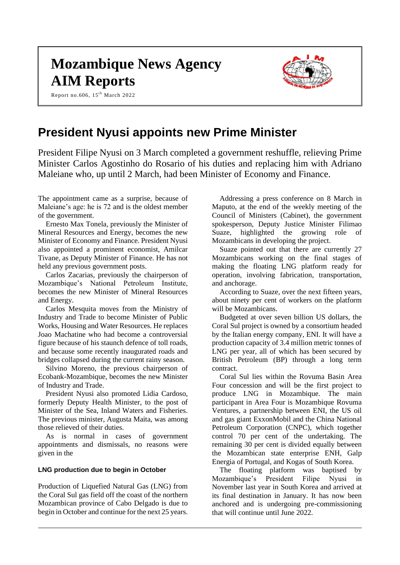# **Mozambique News Agency AIM Reports**

Report no.606,  $15^{\text{th}}$  March 2022



# **President Nyusi appoints new Prime Minister**

President Filipe Nyusi on 3 March completed a government reshuffle, relieving Prime Minister Carlos Agostinho do Rosario of his duties and replacing him with Adriano Maleiane who, up until 2 March, had been Minister of Economy and Finance.

The appointment came as a surprise, because of Maleiane's age: he is 72 and is the oldest member of the government.

Ernesto Max Tonela, previously the Minister of Mineral Resources and Energy, becomes the new Minister of Economy and Finance. President Nyusi also appointed a prominent economist, Amilcar Tivane, as Deputy Minister of Finance. He has not held any previous government posts.

Carlos Zacarias, previously the chairperson of Mozambique's National Petroleum Institute, becomes the new Minister of Mineral Resources and Energy.

Carlos Mesquita moves from the Ministry of Industry and Trade to become Minister of Public Works, Housing and Water Resources. He replaces Joao Machatine who had become a controversial figure because of his staunch defence of toll roads, and because some recently inaugurated roads and bridges collapsed during the current rainy season.

Silvino Moreno, the previous chairperson of Ecobank-Mozambique, becomes the new Minister of Industry and Trade.

President Nyusi also promoted Lidia Cardoso, formerly Deputy Health Minister, to the post of Minister of the Sea, Inland Waters and Fisheries. The previous minister, Augusta Maita, was among those relieved of their duties.

As is normal in cases of government appointments and dismissals, no reasons were given in the

#### **LNG production due to begin in October**

Production of Liquefied Natural Gas (LNG) from the Coral Sul gas field off the coast of the northern Mozambican province of Cabo Delgado is due to begin in October and continue for the next 25 years.

Addressing a press conference on 8 March in Maputo, at the end of the weekly meeting of the Council of Ministers (Cabinet), the government spokesperson, Deputy Justice Minister Filimao Suaze, highlighted the growing role of Mozambicans in developing the project.

Suaze pointed out that there are currently 27 Mozambicans working on the final stages of making the floating LNG platform ready for operation, involving fabrication, transportation, and anchorage.

According to Suaze, over the next fifteen years, about ninety per cent of workers on the platform will be Mozambicans.

Budgeted at over seven billion US dollars, the Coral Sul project is owned by a consortium headed by the Italian energy company, ENI. It will have a production capacity of 3.4 million metric tonnes of LNG per year, all of which has been secured by British Petroleum (BP) through a long term contract.

Coral Sul lies within the Rovuma Basin Area Four concession and will be the first project to produce LNG in Mozambique. The main participant in Area Four is Mozambique Rovuma Ventures, a partnership between ENI, the US oil and gas giant ExxonMobil and the China National Petroleum Corporation (CNPC), which together control 70 per cent of the undertaking. The remaining 30 per cent is divided equally between the Mozambican state enterprise ENH, Galp Energia of Portugal, and Kogas of South Korea.

The floating platform was baptised by Mozambique's President Filipe Nyusi in November last year in South Korea and arrived at its final destination in January. It has now been anchored and is undergoing pre-commissioning that will continue until June 2022.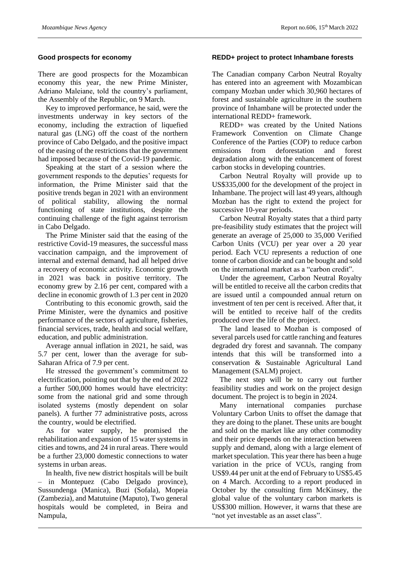#### **Good prospects for economy**

There are good prospects for the Mozambican economy this year, the new Prime Minister, Adriano Maleiane, told the country's parliament, the Assembly of the Republic, on 9 March.

Key to improved performance, he said, were the investments underway in key sectors of the economy, including the extraction of liquefied natural gas (LNG) off the coast of the northern province of Cabo Delgado, and the positive impact of the easing of the restrictions that the government had imposed because of the Covid-19 pandemic.

Speaking at the start of a session where the government responds to the deputies' requests for information, the Prime Minister said that the positive trends began in 2021 with an environment of political stability, allowing the normal functioning of state institutions, despite the continuing challenge of the fight against terrorism in Cabo Delgado.

The Prime Minister said that the easing of the restrictive Covid-19 measures, the successful mass vaccination campaign, and the improvement of internal and external demand, had all helped drive a recovery of economic activity. Economic growth in 2021 was back in positive territory. The economy grew by 2.16 per cent, compared with a decline in economic growth of 1.3 per cent in 2020

Contributing to this economic growth, said the Prime Minister, were the dynamics and positive performance of the sectors of agriculture, fisheries, financial services, trade, health and social welfare, education, and public administration.

Average annual inflation in 2021, he said, was 5.7 per cent, lower than the average for sub-Saharan Africa of 7.9 per cent.

He stressed the government's commitment to electrification, pointing out that by the end of 2022 a further 500,000 homes would have electricity: some from the national grid and some through isolated systems (mostly dependent on solar panels). A further 77 administrative posts, across the country, would be electrified.

As for water supply, he promised the rehabilitation and expansion of 15 water systems in cities and towns, and 24 in rural areas. There would be a further 23,000 domestic connections to water systems in urban areas.

In health, five new district hospitals will be built – in Montepuez (Cabo Delgado province), Sussundenga (Manica), Buzi (Sofala), Mopeia (Zambezia), and Matutuine (Maputo), Two general hospitals would be completed, in Beira and Nampula,

# **REDD+ project to protect Inhambane forests**

The Canadian company Carbon Neutral Royalty has entered into an agreement with Mozambican company Mozban under which 30,960 hectares of forest and sustainable agriculture in the southern province of Inhambane will be protected under the international REDD+ framework.

REDD+ was created by the United Nations Framework Convention on Climate Change Conference of the Parties (COP) to reduce carbon emissions from deforestation and forest degradation along with the enhancement of forest carbon stocks in developing countries.

Carbon Neutral Royalty will provide up to US\$335,000 for the development of the project in Inhambane. The project will last 49 years, although Mozban has the right to extend the project for successive 10-year periods.

Carbon Neutral Royalty states that a third party pre-feasibility study estimates that the project will generate an average of 25,000 to 35,000 Verified Carbon Units (VCU) per year over a 20 year period. Each VCU represents a reduction of one tonne of carbon dioxide and can be bought and sold on the international market as a "carbon credit".

Under the agreement, Carbon Neutral Royalty will be entitled to receive all the carbon credits that are issued until a compounded annual return on investment of ten per cent is received. After that, it will be entitled to receive half of the credits produced over the life of the project.

The land leased to Mozban is composed of several parcels used for cattle ranching and features degraded dry forest and savannah. The company intends that this will be transformed into a conservation & Sustainable Agricultural Land Management (SALM) project.

The next step will be to carry out further feasibility studies and work on the project design document. The project is to begin in 2024.

Many international companies purchase Voluntary Carbon Units to offset the damage that they are doing to the planet. These units are bought and sold on the market like any other commodity and their price depends on the interaction between supply and demand, along with a large element of market speculation. This year there has been a huge variation in the price of VCUs, ranging from US\$9.44 per unit at the end of February to US\$5.45 on 4 March. According to a report produced in October by the consulting firm McKinsey, the global value of the voluntary carbon markets is US\$300 million. However, it warns that these are "not yet investable as an asset class".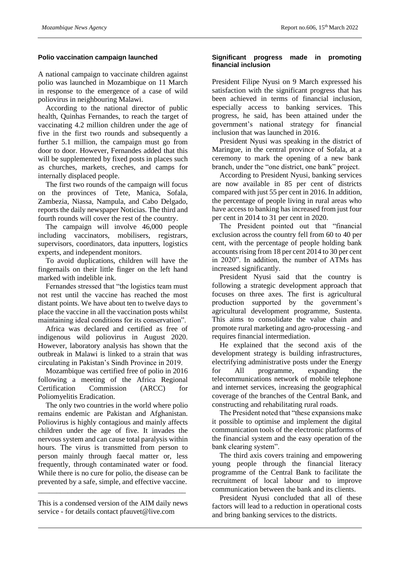#### **Polio vaccination campaign launched**

A national campaign to vaccinate children against polio was launched in Mozambique on 11 March in response to the emergence of a case of wild poliovirus in neighbouring Malawi.

According to the national director of public health, Quinhas Fernandes, to reach the target of vaccinating 4.2 million children under the age of five in the first two rounds and subsequently a further 5.1 million, the campaign must go from door to door. However, Fernandes added that this will be supplemented by fixed posts in places such as churches, markets, creches, and camps for internally displaced people.

The first two rounds of the campaign will focus on the provinces of Tete, Manica, Sofala, Zambezia, Niassa, Nampula, and Cabo Delgado, reports the daily newspaper Noticias. The third and fourth rounds will cover the rest of the country.

The campaign will involve 46,000 people including vaccinators, mobilisers, registrars, supervisors, coordinators, data inputters, logistics experts, and independent monitors.

To avoid duplications, children will have the fingernails on their little finger on the left hand marked with indelible ink.

Fernandes stressed that "the logistics team must not rest until the vaccine has reached the most distant points. We have about ten to twelve days to place the vaccine in all the vaccination posts whilst maintaining ideal conditions for its conservation".

Africa was declared and certified as free of indigenous wild poliovirus in August 2020. However, laboratory analysis has shown that the outbreak in Malawi is linked to a strain that was circulating in Pakistan's Sindh Province in 2019.

Mozambique was certified free of polio in 2016 following a meeting of the Africa Regional Certification Commission (ARCC) for Poliomyelitis Eradication.

The only two countries in the world where polio remains endemic are Pakistan and Afghanistan. Poliovirus is highly contagious and mainly affects children under the age of five. It invades the nervous system and can cause total paralysis within hours. The virus is transmitted from person to person mainly through faecal matter or, less frequently, through contaminated water or food. While there is no cure for polio, the disease can be prevented by a safe, simple, and effective vaccine.

This is a condensed version of the AIM daily news service - for details contact pfauvet@live.com

\_\_\_\_\_\_\_\_\_\_\_\_\_\_\_\_\_\_\_\_\_\_\_\_\_\_\_\_\_\_\_\_\_\_\_\_\_\_\_\_

#### **Significant progress made in promoting financial inclusion**

President Filipe Nyusi on 9 March expressed his satisfaction with the significant progress that has been achieved in terms of financial inclusion, especially access to banking services. This progress, he said, has been attained under the government's national strategy for financial inclusion that was launched in 2016.

President Nyusi was speaking in the district of Maringue, in the central province of Sofala, at a ceremony to mark the opening of a new bank branch, under the "one district, one bank" project.

According to President Nyusi, banking services are now available in 85 per cent of districts compared with just 55 per cent in 2016. In addition, the percentage of people living in rural areas who have access to banking has increased from just four per cent in 2014 to 31 per cent in 2020.

The President pointed out that "financial exclusion across the country fell from 60 to 40 per cent, with the percentage of people holding bank accounts rising from 18 per cent 2014 to 30 per cent in 2020". In addition, the number of ATMs has increased significantly.

President Nyusi said that the country is following a strategic development approach that focuses on three axes. The first is agricultural production supported by the government's agricultural development programme, Sustenta. This aims to consolidate the value chain and promote rural marketing and agro-processing - and requires financial intermediation.

He explained that the second axis of the development strategy is building infrastructures, electrifying administrative posts under the Energy for All programme, expanding the telecommunications network of mobile telephone and internet services, increasing the geographical coverage of the branches of the Central Bank, and constructing and rehabilitating rural roads.

The President noted that "these expansions make it possible to optimise and implement the digital communication tools of the electronic platforms of the financial system and the easy operation of the bank clearing system".

The third axis covers training and empowering young people through the financial literacy programme of the Central Bank to facilitate the recruitment of local labour and to improve communication between the bank and its clients.

President Nyusi concluded that all of these factors will lead to a reduction in operational costs and bring banking services to the districts.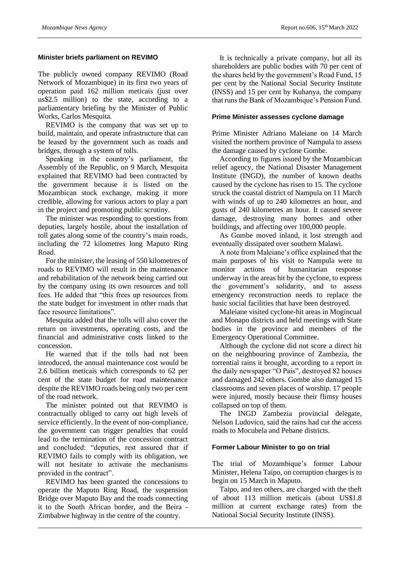#### **Minister briefs parliament on REVIMO**

The publicly owned company REVIMO (Road Network of Mozambique) in its first two years of operation paid 162 million meticais (just over us\$2.5 million) to the state, according to a parliamentary briefing by the Minister of Public Works, Carlos Mesquita.

REVIMO is the company that was set up to build, maintain, and operate infrastructure that can be leased by the government such as roads and bridges, through a system of tolls.

Speaking in the country's parliament, the Assembly of the Republic, on 9 March, Mesquita explained that REVIMO had been contracted by the government because it is listed on the Mozambican stock exchange, making it more credible, allowing for various actors to play a part in the project and promoting public scrutiny.

The minister was responding to questions from deputies, largely hostile, about the installation of toll gates along some of the country's main roads, including the 72 kilometres long Maputo Ring Road.

For the minister, the leasing of 550 kilometres of roads to REVIMO will result in the maintenance and rehabilitation of the network being carried out by the company using its own resources and toll fees. He added that "this frees up resources from the state budget for investment in other roads that face resource limitations".

Mesquita added that the tolls will also cover the return on investments, operating costs, and the financial and administrative costs linked to the concession.

He warned that if the tolls had not been introduced, the annual maintenance cost would be 2.6 billion meticais which corresponds to 62 per cent of the state budget for road maintenance despite the REVIMO roads being only two per cent of the road network.

The minister pointed out that REVIMO is contractually obliged to carry out high levels of service efficiently. In the event of non-compliance, the government can trigger penalties that could lead to the termination of the concession contract and concluded: "deputies, rest assured that if REVIMO fails to comply with its obligation, we will not hesitate to activate the mechanisms provided in the contract".

REVIMO has been granted the concessions to operate the Maputo Ring Road, the suspension Bridge over Maputo Bay and the roads connecting it to the South African border, and the Beira - Zimbabwe highway in the centre of the country.

It is technically a private company, but all its shareholders are public bodies with 70 per cent of the shares held by the government's Road Fund, 15 per cent by the National Social Security Institute (INSS) and 15 per cent by Kuhanya, the company that runs the Bank of Mozambique's Pension Fund.

# **Prime Minister assesses cyclone damage**

Prime Minister Adriano Maleiane on 14 March visited the northern province of Nampula to assess the damage caused by cyclone Gombe.

According to figures issued by the Mozambican relief agency, the National Disaster Management Institute (INGD), the number of known deaths caused by the cyclone has risen to 15. The cyclone struck the coastal district of Nampula on 11 March with winds of up to 240 kilometres an hour, and gusts of 240 kilometres an hour. It caused severe damage, destroying many homes and other buildings, and affecting over 100,000 people.

As Gombe moved inland, it lost strength and eventually dissipated over southern Malawi.

A note from Maleiane's office explained that the main purposes of his visit to Nampula were to monitor actions of humanitarian response underway in the areas hit by the cyclone, to express the government's solidarity, and to assess emergency reconstruction needs to replace the basic social facilities that have been destroyed.

Maleiane visited cyclone-hit areas in Mogincual and Monapo districts and held meetings with State bodies in the province and members of the Emergency Operational Committee.

Although the cyclone did not score a direct hit on the neighbouring province of Zambezia, the torrential rains it brought, according to a report in the daily newspaper "O Pais", destroyed 82 houses and damaged 242 others. Gombe also damaged 15 classrooms and seven places of worship. 17 people were injured, mostly because their flimsy houses collapsed on top of them.

The INGD Zambezia provincial delegate, Nelson Ludovico, said the rains had cut the access roads to Mocubela and Pebane districts.

# **Former Labour Minister to go on trial**

The trial of Mozambique's former Labour Minister, Helena Taipo, on corruption charges is to begin on 15 March in Maputo.

Taipo, and ten others, are charged with the theft of about 113 million meticais (about US\$1.8 million at current exchange rates) from the National Social Security Institute (INSS).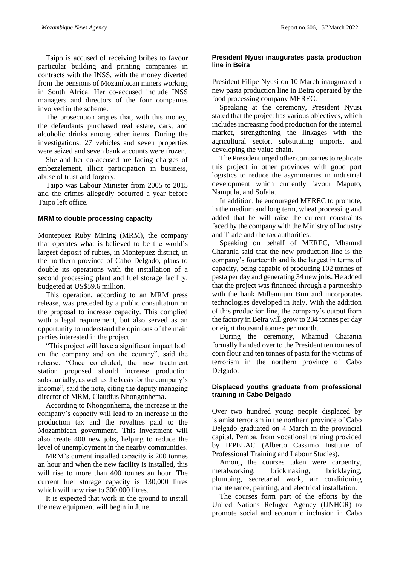Taipo is accused of receiving bribes to favour particular building and printing companies in contracts with the INSS, with the money diverted from the pensions of Mozambican miners working in South Africa. Her co-accused include INSS managers and directors of the four companies involved in the scheme.

The prosecution argues that, with this money, the defendants purchased real estate, cars, and alcoholic drinks among other items. During the investigations, 27 vehicles and seven properties were seized and seven bank accounts were frozen.

She and her co-accused are facing charges of embezzlement, illicit participation in business, abuse of trust and forgery.

Taipo was Labour Minister from 2005 to 2015 and the crimes allegedly occurred a year before Taipo left office.

#### **MRM to double processing capacity**

Montepuez Ruby Mining (MRM), the company that operates what is believed to be the world's largest deposit of rubies, in Montepuez district, in the northern province of Cabo Delgado, plans to double its operations with the installation of a second processing plant and fuel storage facility, budgeted at US\$59.6 million.

This operation, according to an MRM press release, was preceded by a public consultation on the proposal to increase capacity. This complied with a legal requirement, but also served as an opportunity to understand the opinions of the main parties interested in the project.

"This project will have a significant impact both on the company and on the country", said the release. "Once concluded, the new treatment station proposed should increase production substantially, as well as the basis for the company's income", said the note, citing the deputy managing director of MRM, Claudius Nhongonhema.

According to Nhongonhema, the increase in the company's capacity will lead to an increase in the production tax and the royalties paid to the Mozambican government. This investment will also create 400 new jobs, helping to reduce the level of unemployment in the nearby communities.

MRM's current installed capacity is 200 tonnes an hour and when the new facility is installed, this will rise to more than 400 tonnes an hour. The current fuel storage capacity is 130,000 litres which will now rise to 300,000 litres.

It is expected that work in the ground to install the new equipment will begin in June.

#### **President Nyusi inaugurates pasta production line in Beira**

President Filipe Nyusi on 10 March inaugurated a new pasta production line in Beira operated by the food processing company MEREC.

Speaking at the ceremony, President Nyusi stated that the project has various objectives, which includes increasing food production for the internal market, strengthening the linkages with the agricultural sector, substituting imports, and developing the value chain.

The President urged other companies to replicate this project in other provinces with good port logistics to reduce the asymmetries in industrial development which currently favour Maputo, Nampula, and Sofala.

In addition, he encouraged MEREC to promote, in the medium and long term, wheat processing and added that he will raise the current constraints faced by the company with the Ministry of Industry and Trade and the tax authorities.

Speaking on behalf of MEREC, Mhamud Charania said that the new production line is the company's fourteenth and is the largest in terms of capacity, being capable of producing 102 tonnes of pasta per day and generating 34 new jobs. He added that the project was financed through a partnership with the bank Millennium Bim and incorporates technologies developed in Italy. With the addition of this production line, the company's output from the factory in Beira will grow to 234 tonnes per day or eight thousand tonnes per month.

During the ceremony, Mhamud Charania formally handed over to the President ten tonnes of corn flour and ten tonnes of pasta for the victims of terrorism in the northern province of Cabo Delgado.

# **Displaced youths graduate from professional training in Cabo Delgado**

Over two hundred young people displaced by islamist terrorism in the northern province of Cabo Delgado graduated on 4 March in the provincial capital, Pemba, from vocational training provided by IFPELAC (Alberto Cassimo Institute of Professional Training and Labour Studies).

Among the courses taken were carpentry, metalworking, brickmaking, bricklaying, plumbing, secretarial work, air conditioning maintenance, painting, and electrical installation.

The courses form part of the efforts by the United Nations Refugee Agency (UNHCR) to promote social and economic inclusion in Cabo